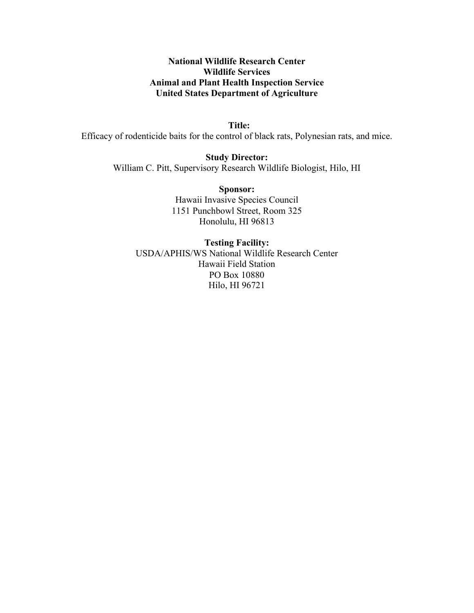## **National Wildlife Research Center Wildlife Services Animal and Plant Health Inspection Service United States Department of Agriculture**

 **Title:** Efficacy of rodenticide baits for the control of black rats, Polynesian rats, and mice.

> **Study Director:** William C. Pitt, Supervisory Research Wildlife Biologist, Hilo, HI

> > **Sponsor:** Hawaii Invasive Species Council 1151 Punchbowl Street, Room 325 Honolulu, HI 96813

**Testing Facility:** USDA/APHIS/WS National Wildlife Research Center Hawaii Field Station PO Box 10880 Hilo, HI 96721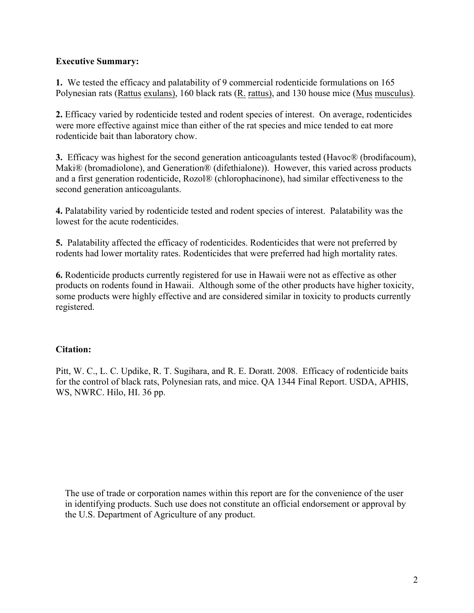# **Executive Summary:**

**1.** We tested the efficacy and palatability of 9 commercial rodenticide formulations on 165 Polynesian rats (Rattus exulans), 160 black rats (R. rattus), and 130 house mice (Mus musculus).

**2.** Efficacy varied by rodenticide tested and rodent species of interest. On average, rodenticides were more effective against mice than either of the rat species and mice tended to eat more rodenticide bait than laboratory chow.

**3.** Efficacy was highest for the second generation anticoagulants tested (Havoc® (brodifacoum), Maki® (bromadiolone), and Generation® (difethialone)). However, this varied across products and a first generation rodenticide, Rozol® (chlorophacinone), had similar effectiveness to the second generation anticoagulants.

**4.** Palatability varied by rodenticide tested and rodent species of interest. Palatability was the lowest for the acute rodenticides.

**5.** Palatability affected the efficacy of rodenticides. Rodenticides that were not preferred by rodents had lower mortality rates. Rodenticides that were preferred had high mortality rates.

**6.** Rodenticide products currently registered for use in Hawaii were not as effective as other products on rodents found in Hawaii. Although some of the other products have higher toxicity, some products were highly effective and are considered similar in toxicity to products currently registered.

# **Citation:**

Pitt, W. C., L. C. Updike, R. T. Sugihara, and R. E. Doratt. 2008.Efficacy of rodenticide baits for the control of black rats, Polynesian rats, and mice. QA 1344 Final Report. USDA, APHIS, WS, NWRC. Hilo, HI. 36 pp.

The use of trade or corporation names within this report are for the convenience of the user in identifying products. Such use does not constitute an official endorsement or approval by the U.S. Department of Agriculture of any product.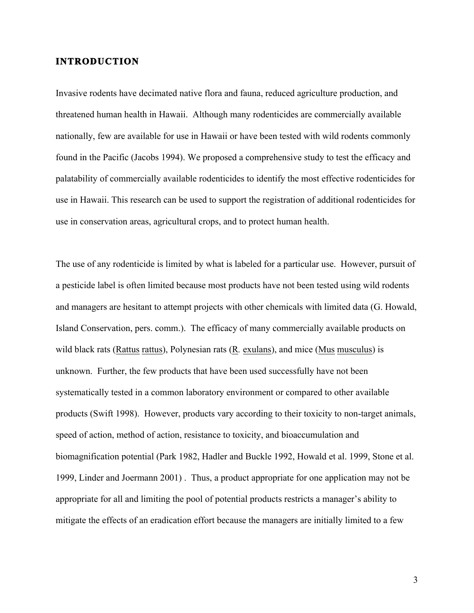# **INTRODUCTION**

Invasive rodents have decimated native flora and fauna, reduced agriculture production, and threatened human health in Hawaii. Although many rodenticides are commercially available nationally, few are available for use in Hawaii or have been tested with wild rodents commonly found in the Pacific (Jacobs 1994). We proposed a comprehensive study to test the efficacy and palatability of commercially available rodenticides to identify the most effective rodenticides for use in Hawaii. This research can be used to support the registration of additional rodenticides for use in conservation areas, agricultural crops, and to protect human health.

The use of any rodenticide is limited by what is labeled for a particular use. However, pursuit of a pesticide label is often limited because most products have not been tested using wild rodents and managers are hesitant to attempt projects with other chemicals with limited data (G. Howald, Island Conservation, pers. comm.). The efficacy of many commercially available products on wild black rats (Rattus rattus), Polynesian rats (R*.* exulans), and mice (Mus musculus) is unknown. Further, the few products that have been used successfully have not been systematically tested in a common laboratory environment or compared to other available products (Swift 1998). However, products vary according to their toxicity to non-target animals, speed of action, method of action, resistance to toxicity, and bioaccumulation and biomagnification potential (Park 1982, Hadler and Buckle 1992, Howald et al. 1999, Stone et al. 1999, Linder and Joermann 2001) . Thus, a product appropriate for one application may not be appropriate for all and limiting the pool of potential products restricts a manager's ability to mitigate the effects of an eradication effort because the managers are initially limited to a few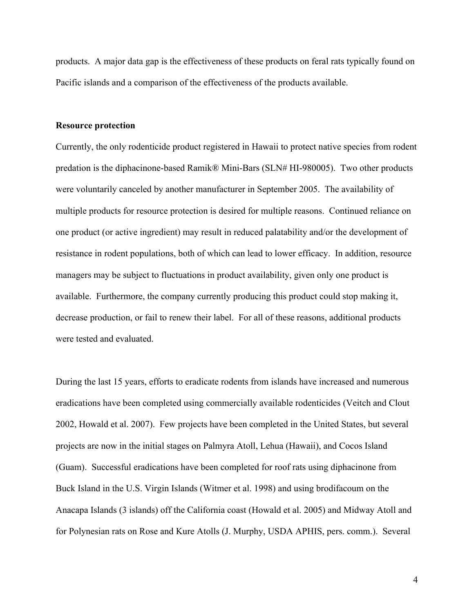products. A major data gap is the effectiveness of these products on feral rats typically found on Pacific islands and a comparison of the effectiveness of the products available.

#### **Resource protection**

Currently, the only rodenticide product registered in Hawaii to protect native species from rodent predation is the diphacinone-based Ramik® Mini-Bars (SLN# HI-980005). Two other products were voluntarily canceled by another manufacturer in September 2005. The availability of multiple products for resource protection is desired for multiple reasons. Continued reliance on one product (or active ingredient) may result in reduced palatability and/or the development of resistance in rodent populations, both of which can lead to lower efficacy. In addition, resource managers may be subject to fluctuations in product availability, given only one product is available. Furthermore, the company currently producing this product could stop making it, decrease production, or fail to renew their label. For all of these reasons, additional products were tested and evaluated.

During the last 15 years, efforts to eradicate rodents from islands have increased and numerous eradications have been completed using commercially available rodenticides (Veitch and Clout 2002, Howald et al. 2007). Few projects have been completed in the United States, but several projects are now in the initial stages on Palmyra Atoll, Lehua (Hawaii), and Cocos Island (Guam). Successful eradications have been completed for roof rats using diphacinone from Buck Island in the U.S. Virgin Islands (Witmer et al. 1998) and using brodifacoum on the Anacapa Islands (3 islands) off the California coast (Howald et al. 2005) and Midway Atoll and for Polynesian rats on Rose and Kure Atolls (J. Murphy, USDA APHIS, pers. comm.). Several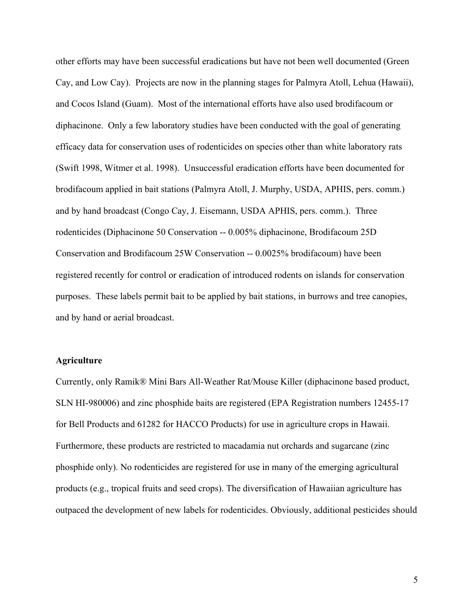other efforts may have been successful eradications but have not been well documented (Green Cay, and Low Cay). Projects are now in the planning stages for Palmyra Atoll, Lehua (Hawaii), and Cocos Island (Guam). Most of the international efforts have also used brodifacoum or diphacinone. Only a few laboratory studies have been conducted with the goal of generating efficacy data for conservation uses of rodenticides on species other than white laboratory rats (Swift 1998, Witmer et al. 1998). Unsuccessful eradication efforts have been documented for brodifacoum applied in bait stations (Palmyra Atoll, J. Murphy, USDA, APHIS, pers. comm.) and by hand broadcast (Congo Cay, J. Eisemann, USDA APHIS, pers. comm.). Three rodenticides (Diphacinone 50 Conservation -- 0.005% diphacinone, Brodifacoum 25D Conservation and Brodifacoum 25W Conservation -- 0.0025% brodifacoum) have been registered recently for control or eradication of introduced rodents on islands for conservation purposes. These labels permit bait to be applied by bait stations, in burrows and tree canopies, and by hand or aerial broadcast.

### **Agriculture**

Currently, only Ramik® Mini Bars All-Weather Rat/Mouse Killer (diphacinone based product, SLN HI-980006) and zinc phosphide baits are registered (EPA Registration numbers 12455-17 for Bell Products and 61282 for HACCO Products) for use in agriculture crops in Hawaii. Furthermore, these products are restricted to macadamia nut orchards and sugarcane (zinc phosphide only). No rodenticides are registered for use in many of the emerging agricultural products (e.g., tropical fruits and seed crops). The diversification of Hawaiian agriculture has outpaced the development of new labels for rodenticides. Obviously, additional pesticides should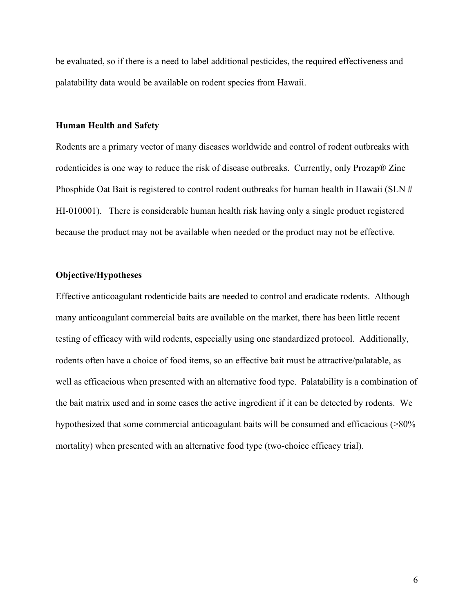be evaluated, so if there is a need to label additional pesticides, the required effectiveness and palatability data would be available on rodent species from Hawaii.

#### **Human Health and Safety**

Rodents are a primary vector of many diseases worldwide and control of rodent outbreaks with rodenticides is one way to reduce the risk of disease outbreaks. Currently, only Prozap® Zinc Phosphide Oat Bait is registered to control rodent outbreaks for human health in Hawaii (SLN # HI-010001). There is considerable human health risk having only a single product registered because the product may not be available when needed or the product may not be effective.

#### **Objective/Hypotheses**

Effective anticoagulant rodenticide baits are needed to control and eradicate rodents. Although many anticoagulant commercial baits are available on the market, there has been little recent testing of efficacy with wild rodents, especially using one standardized protocol. Additionally, rodents often have a choice of food items, so an effective bait must be attractive/palatable, as well as efficacious when presented with an alternative food type. Palatability is a combination of the bait matrix used and in some cases the active ingredient if it can be detected by rodents. We hypothesized that some commercial anticoagulant baits will be consumed and efficacious (>80% mortality) when presented with an alternative food type (two-choice efficacy trial).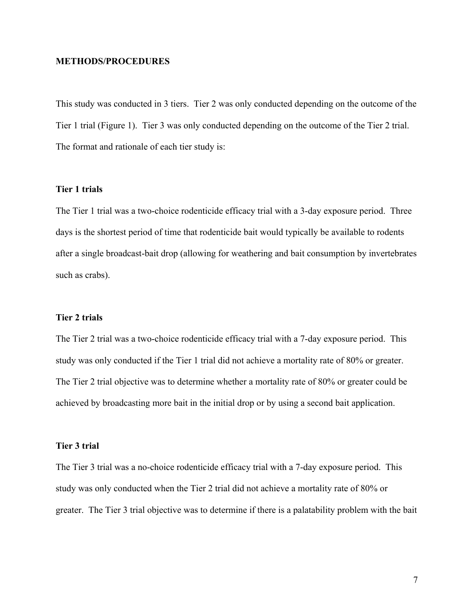### **METHODS/PROCEDURES**

This study was conducted in 3 tiers. Tier 2 was only conducted depending on the outcome of the Tier 1 trial (Figure 1). Tier 3 was only conducted depending on the outcome of the Tier 2 trial. The format and rationale of each tier study is:

### **Tier 1 trials**

The Tier 1 trial was a two-choice rodenticide efficacy trial with a 3-day exposure period. Three days is the shortest period of time that rodenticide bait would typically be available to rodents after a single broadcast-bait drop (allowing for weathering and bait consumption by invertebrates such as crabs).

#### **Tier 2 trials**

The Tier 2 trial was a two-choice rodenticide efficacy trial with a 7-day exposure period. This study was only conducted if the Tier 1 trial did not achieve a mortality rate of 80% or greater. The Tier 2 trial objective was to determine whether a mortality rate of 80% or greater could be achieved by broadcasting more bait in the initial drop or by using a second bait application.

#### **Tier 3 trial**

The Tier 3 trial was a no-choice rodenticide efficacy trial with a 7-day exposure period. This study was only conducted when the Tier 2 trial did not achieve a mortality rate of 80% or greater. The Tier 3 trial objective was to determine if there is a palatability problem with the bait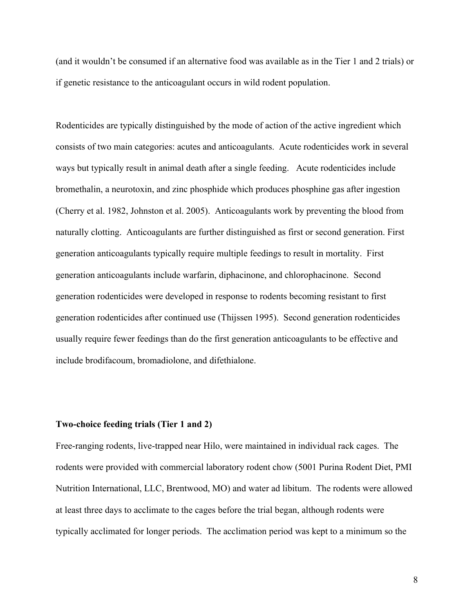(and it wouldn't be consumed if an alternative food was available as in the Tier 1 and 2 trials) or if genetic resistance to the anticoagulant occurs in wild rodent population.

Rodenticides are typically distinguished by the mode of action of the active ingredient which consists of two main categories: acutes and anticoagulants. Acute rodenticides work in several ways but typically result in animal death after a single feeding. Acute rodenticides include bromethalin, a neurotoxin, and zinc phosphide which produces phosphine gas after ingestion (Cherry et al. 1982, Johnston et al. 2005). Anticoagulants work by preventing the blood from naturally clotting. Anticoagulants are further distinguished as first or second generation. First generation anticoagulants typically require multiple feedings to result in mortality. First generation anticoagulants include warfarin, diphacinone, and chlorophacinone. Second generation rodenticides were developed in response to rodents becoming resistant to first generation rodenticides after continued use (Thijssen 1995). Second generation rodenticides usually require fewer feedings than do the first generation anticoagulants to be effective and include brodifacoum, bromadiolone, and difethialone.

#### **Two-choice feeding trials (Tier 1 and 2)**

Free-ranging rodents, live-trapped near Hilo, were maintained in individual rack cages. The rodents were provided with commercial laboratory rodent chow (5001 Purina Rodent Diet, PMI Nutrition International, LLC, Brentwood, MO) and water ad libitum. The rodents were allowed at least three days to acclimate to the cages before the trial began, although rodents were typically acclimated for longer periods. The acclimation period was kept to a minimum so the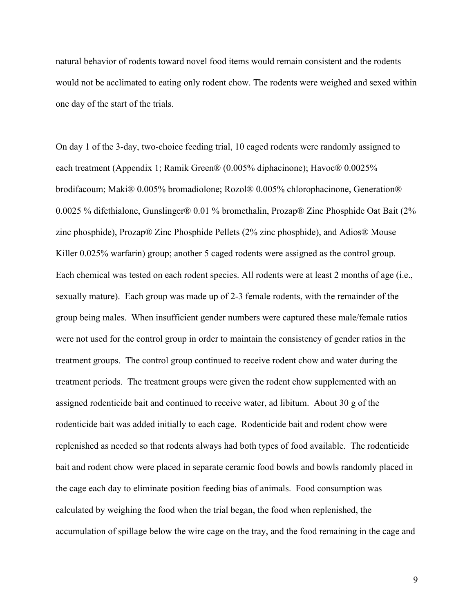natural behavior of rodents toward novel food items would remain consistent and the rodents would not be acclimated to eating only rodent chow. The rodents were weighed and sexed within one day of the start of the trials.

On day 1 of the 3-day, two-choice feeding trial, 10 caged rodents were randomly assigned to each treatment (Appendix 1; Ramik Green® (0.005% diphacinone); Havoc® 0.0025% brodifacoum; Maki® 0.005% bromadiolone; Rozol® 0.005% chlorophacinone, Generation® 0.0025 % difethialone, Gunslinger® 0.01 % bromethalin, Prozap® Zinc Phosphide Oat Bait (2% zinc phosphide), Prozap® Zinc Phosphide Pellets (2% zinc phosphide), and Adios® Mouse Killer 0.025% warfarin) group; another 5 caged rodents were assigned as the control group. Each chemical was tested on each rodent species. All rodents were at least 2 months of age (i.e., sexually mature). Each group was made up of 2-3 female rodents, with the remainder of the group being males. When insufficient gender numbers were captured these male/female ratios were not used for the control group in order to maintain the consistency of gender ratios in the treatment groups. The control group continued to receive rodent chow and water during the treatment periods. The treatment groups were given the rodent chow supplemented with an assigned rodenticide bait and continued to receive water, ad libitum. About 30 g of the rodenticide bait was added initially to each cage. Rodenticide bait and rodent chow were replenished as needed so that rodents always had both types of food available. The rodenticide bait and rodent chow were placed in separate ceramic food bowls and bowls randomly placed in the cage each day to eliminate position feeding bias of animals. Food consumption was calculated by weighing the food when the trial began, the food when replenished, the accumulation of spillage below the wire cage on the tray, and the food remaining in the cage and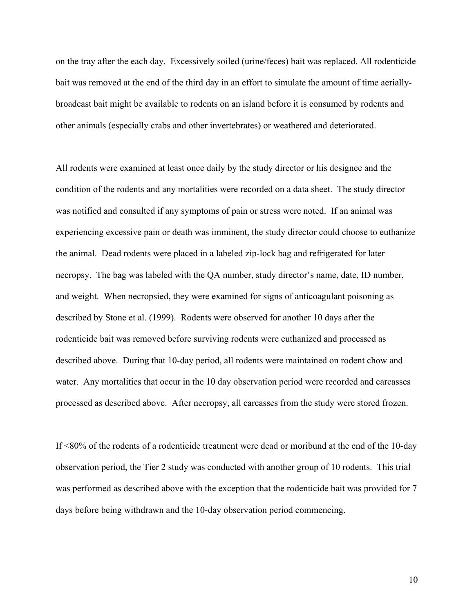on the tray after the each day. Excessively soiled (urine/feces) bait was replaced. All rodenticide bait was removed at the end of the third day in an effort to simulate the amount of time aeriallybroadcast bait might be available to rodents on an island before it is consumed by rodents and other animals (especially crabs and other invertebrates) or weathered and deteriorated.

All rodents were examined at least once daily by the study director or his designee and the condition of the rodents and any mortalities were recorded on a data sheet. The study director was notified and consulted if any symptoms of pain or stress were noted. If an animal was experiencing excessive pain or death was imminent, the study director could choose to euthanize the animal. Dead rodents were placed in a labeled zip-lock bag and refrigerated for later necropsy. The bag was labeled with the QA number, study director's name, date, ID number, and weight. When necropsied, they were examined for signs of anticoagulant poisoning as described by Stone et al. (1999). Rodents were observed for another 10 days after the rodenticide bait was removed before surviving rodents were euthanized and processed as described above. During that 10-day period, all rodents were maintained on rodent chow and water. Any mortalities that occur in the 10 day observation period were recorded and carcasses processed as described above. After necropsy, all carcasses from the study were stored frozen.

If <80% of the rodents of a rodenticide treatment were dead or moribund at the end of the 10-day observation period, the Tier 2 study was conducted with another group of 10 rodents. This trial was performed as described above with the exception that the rodenticide bait was provided for 7 days before being withdrawn and the 10-day observation period commencing.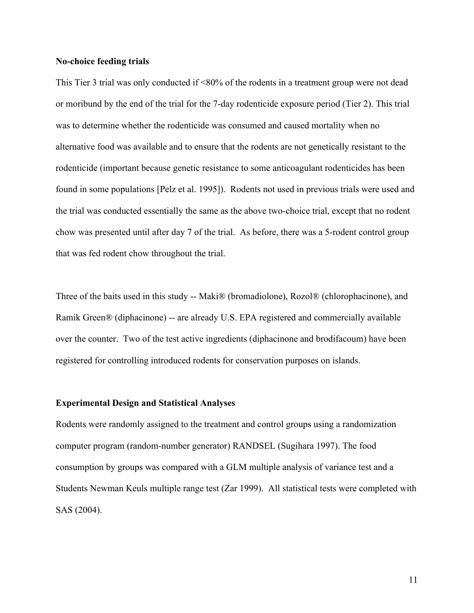### **No-choice feeding trials**

This Tier 3 trial was only conducted if <80% of the rodents in a treatment group were not dead or moribund by the end of the trial for the 7-day rodenticide exposure period (Tier 2). This trial was to determine whether the rodenticide was consumed and caused mortality when no alternative food was available and to ensure that the rodents are not genetically resistant to the rodenticide (important because genetic resistance to some anticoagulant rodenticides has been found in some populations [Pelz et al. 1995]). Rodents not used in previous trials were used and the trial was conducted essentially the same as the above two-choice trial, except that no rodent chow was presented until after day 7 of the trial. As before, there was a 5-rodent control group that was fed rodent chow throughout the trial.

Three of the baits used in this study -- Maki® (bromadiolone), Rozol® (chlorophacinone), and Ramik Green® (diphacinone) -- are already U.S. EPA registered and commercially available over the counter. Two of the test active ingredients (diphacinone and brodifacoum) have been registered for controlling introduced rodents for conservation purposes on islands.

### **Experimental Design and Statistical Analyses**

Rodents were randomly assigned to the treatment and control groups using a randomization computer program (random-number generator) RANDSEL (Sugihara 1997). The food consumption by groups was compared with a GLM multiple analysis of variance test and a Students Newman Keuls multiple range test (Zar 1999). All statistical tests were completed with SAS (2004).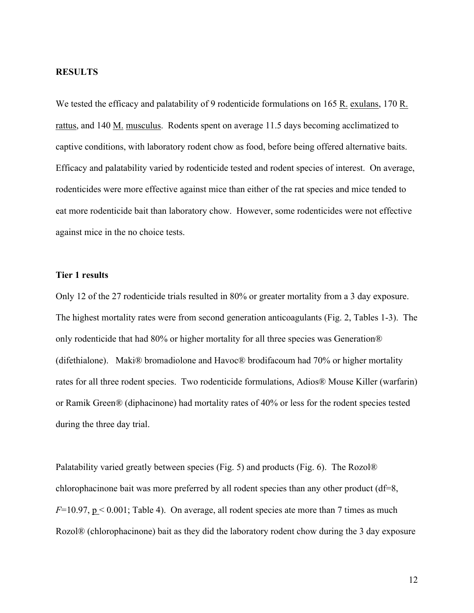### **RESULTS**

We tested the efficacy and palatability of 9 rodenticide formulations on 165 R, exulans, 170 R. rattus, and 140 M. musculus. Rodents spent on average 11.5 days becoming acclimatized to captive conditions, with laboratory rodent chow as food, before being offered alternative baits. Efficacy and palatability varied by rodenticide tested and rodent species of interest. On average, rodenticides were more effective against mice than either of the rat species and mice tended to eat more rodenticide bait than laboratory chow. However, some rodenticides were not effective against mice in the no choice tests.

### **Tier 1 results**

Only 12 of the 27 rodenticide trials resulted in 80% or greater mortality from a 3 day exposure. The highest mortality rates were from second generation anticoagulants (Fig. 2, Tables 1-3). The only rodenticide that had 80% or higher mortality for all three species was Generation® (difethialone). Maki® bromadiolone and Havoc® brodifacoum had 70% or higher mortality rates for all three rodent species. Two rodenticide formulations, Adios® Mouse Killer (warfarin) or Ramik Green® (diphacinone) had mortality rates of 40% or less for the rodent species tested during the three day trial.

Palatability varied greatly between species (Fig. 5) and products (Fig. 6). The Rozol® chlorophacinone bait was more preferred by all rodent species than any other product (df=8,  $F=10.97$ ,  $p < 0.001$ ; Table 4). On average, all rodent species ate more than 7 times as much Rozol® (chlorophacinone) bait as they did the laboratory rodent chow during the 3 day exposure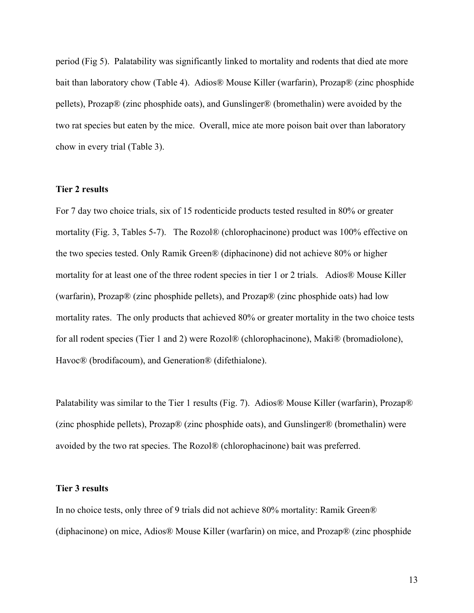period (Fig 5). Palatability was significantly linked to mortality and rodents that died ate more bait than laboratory chow (Table 4). Adios® Mouse Killer (warfarin), Prozap® (zinc phosphide pellets), Prozap® (zinc phosphide oats), and Gunslinger® (bromethalin) were avoided by the two rat species but eaten by the mice. Overall, mice ate more poison bait over than laboratory chow in every trial (Table 3).

#### **Tier 2 results**

For 7 day two choice trials, six of 15 rodenticide products tested resulted in 80% or greater mortality (Fig. 3, Tables 5-7). The Rozol® (chlorophacinone) product was 100% effective on the two species tested. Only Ramik Green® (diphacinone) did not achieve 80% or higher mortality for at least one of the three rodent species in tier 1 or 2 trials. Adios® Mouse Killer (warfarin), Prozap® (zinc phosphide pellets), and Prozap® (zinc phosphide oats) had low mortality rates. The only products that achieved 80% or greater mortality in the two choice tests for all rodent species (Tier 1 and 2) were Rozol® (chlorophacinone), Maki® (bromadiolone), Havoc® (brodifacoum), and Generation® (difethialone).

Palatability was similar to the Tier 1 results (Fig. 7). Adios® Mouse Killer (warfarin), Prozap® (zinc phosphide pellets), Prozap® (zinc phosphide oats), and Gunslinger® (bromethalin) were avoided by the two rat species. The Rozol® (chlorophacinone) bait was preferred.

#### **Tier 3 results**

In no choice tests, only three of 9 trials did not achieve 80% mortality: Ramik Green® (diphacinone) on mice, Adios® Mouse Killer (warfarin) on mice, and Prozap® (zinc phosphide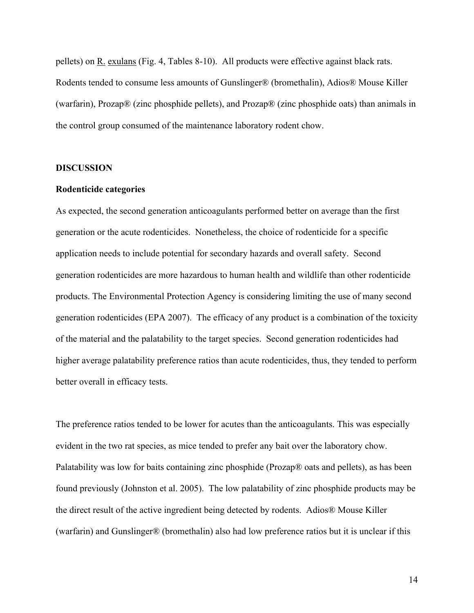pellets) on R. exulans (Fig. 4, Tables 8-10). All products were effective against black rats. Rodents tended to consume less amounts of Gunslinger® (bromethalin), Adios® Mouse Killer (warfarin), Prozap® (zinc phosphide pellets), and Prozap® (zinc phosphide oats) than animals in the control group consumed of the maintenance laboratory rodent chow.

### **DISCUSSION**

#### **Rodenticide categories**

As expected, the second generation anticoagulants performed better on average than the first generation or the acute rodenticides. Nonetheless, the choice of rodenticide for a specific application needs to include potential for secondary hazards and overall safety. Second generation rodenticides are more hazardous to human health and wildlife than other rodenticide products. The Environmental Protection Agency is considering limiting the use of many second generation rodenticides (EPA 2007). The efficacy of any product is a combination of the toxicity of the material and the palatability to the target species. Second generation rodenticides had higher average palatability preference ratios than acute rodenticides, thus, they tended to perform better overall in efficacy tests.

The preference ratios tended to be lower for acutes than the anticoagulants. This was especially evident in the two rat species, as mice tended to prefer any bait over the laboratory chow. Palatability was low for baits containing zinc phosphide (Prozap® oats and pellets), as has been found previously (Johnston et al. 2005). The low palatability of zinc phosphide products may be the direct result of the active ingredient being detected by rodents. Adios® Mouse Killer (warfarin) and Gunslinger® (bromethalin) also had low preference ratios but it is unclear if this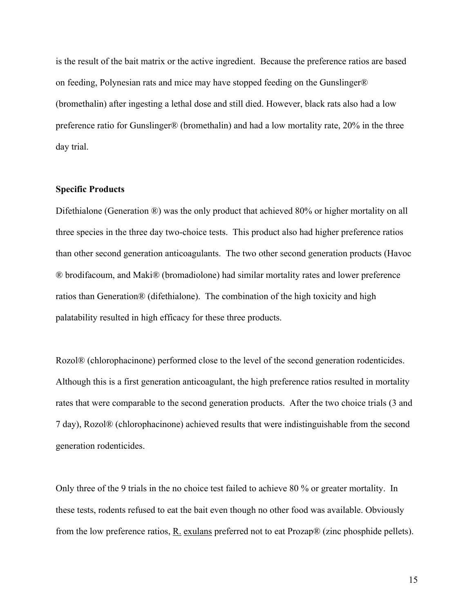is the result of the bait matrix or the active ingredient. Because the preference ratios are based on feeding, Polynesian rats and mice may have stopped feeding on the Gunslinger® (bromethalin) after ingesting a lethal dose and still died. However, black rats also had a low preference ratio for Gunslinger® (bromethalin) and had a low mortality rate, 20% in the three day trial.

### **Specific Products**

Difethialone (Generation ®) was the only product that achieved 80% or higher mortality on all three species in the three day two-choice tests. This product also had higher preference ratios than other second generation anticoagulants. The two other second generation products (Havoc ® brodifacoum, and Maki® (bromadiolone) had similar mortality rates and lower preference ratios than Generation® (difethialone). The combination of the high toxicity and high palatability resulted in high efficacy for these three products.

Rozol® (chlorophacinone) performed close to the level of the second generation rodenticides. Although this is a first generation anticoagulant, the high preference ratios resulted in mortality rates that were comparable to the second generation products. After the two choice trials (3 and 7 day), Rozol® (chlorophacinone) achieved results that were indistinguishable from the second generation rodenticides.

Only three of the 9 trials in the no choice test failed to achieve 80 % or greater mortality. In these tests, rodents refused to eat the bait even though no other food was available. Obviously from the low preference ratios,  $R$ . exulans preferred not to eat Prozap $\mathcal{R}$  (zinc phosphide pellets).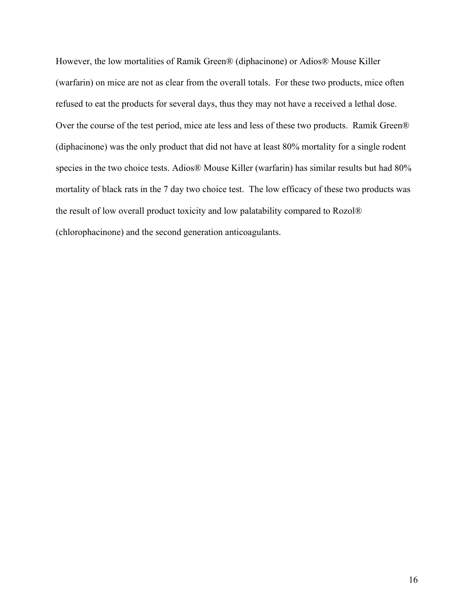However, the low mortalities of Ramik Green® (diphacinone) or Adios® Mouse Killer (warfarin) on mice are not as clear from the overall totals. For these two products, mice often refused to eat the products for several days, thus they may not have a received a lethal dose. Over the course of the test period, mice ate less and less of these two products. Ramik Green® (diphacinone) was the only product that did not have at least 80% mortality for a single rodent species in the two choice tests. Adios® Mouse Killer (warfarin) has similar results but had 80% mortality of black rats in the 7 day two choice test. The low efficacy of these two products was the result of low overall product toxicity and low palatability compared to Rozol® (chlorophacinone) and the second generation anticoagulants.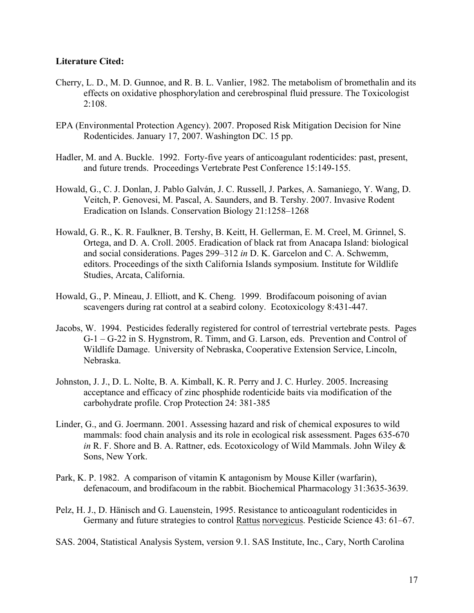## **Literature Cited:**

- Cherry, L. D., M. D. Gunnoe, and R. B. L. Vanlier, 1982. The metabolism of bromethalin and its effects on oxidative phosphorylation and cerebrospinal fluid pressure. The Toxicologist  $2:108.$
- EPA (Environmental Protection Agency). 2007. Proposed Risk Mitigation Decision for Nine Rodenticides. January 17, 2007. Washington DC. 15 pp.
- Hadler, M. and A. Buckle. 1992. Forty-five years of anticoagulant rodenticides: past, present, and future trends. Proceedings Vertebrate Pest Conference 15:149-155.
- Howald, G., C. J. Donlan, J. Pablo Galván, J. C. Russell, J. Parkes, A. Samaniego, Y. Wang, D. Veitch, P. Genovesi, M. Pascal, A. Saunders, and B. Tershy. 2007. Invasive Rodent Eradication on Islands. Conservation Biology 21:1258–1268
- Howald, G. R., K. R. Faulkner, B. Tershy, B. Keitt, H. Gellerman, E. M. Creel, M. Grinnel, S. Ortega, and D. A. Croll. 2005. Eradication of black rat from Anacapa Island: biological and social considerations. Pages 299–312 *in* D. K. Garcelon and C. A. Schwemm, editors. Proceedings of the sixth California Islands symposium. Institute for Wildlife Studies, Arcata, California.
- Howald, G., P. Mineau, J. Elliott, and K. Cheng. 1999. Brodifacoum poisoning of avian scavengers during rat control at a seabird colony. Ecotoxicology 8:431-447.
- Jacobs, W. 1994. Pesticides federally registered for control of terrestrial vertebrate pests. Pages G-1 – G-22 in S. Hygnstrom, R. Timm, and G. Larson, eds. Prevention and Control of Wildlife Damage. University of Nebraska, Cooperative Extension Service, Lincoln, Nebraska.
- Johnston, J. J., D. L. Nolte, B. A. Kimball, K. R. Perry and J. C. Hurley. 2005. Increasing acceptance and efficacy of zinc phosphide rodenticide baits via modification of the carbohydrate profile. Crop Protection 24: 381-385
- Linder, G., and G. Joermann. 2001. Assessing hazard and risk of chemical exposures to wild mammals: food chain analysis and its role in ecological risk assessment. Pages 635-670 *in* R. F. Shore and B. A. Rattner, eds. Ecotoxicology of Wild Mammals. John Wiley & Sons, New York.
- Park, K. P. 1982. A comparison of vitamin K antagonism by Mouse Killer (warfarin), defenacoum, and brodifacoum in the rabbit. Biochemical Pharmacology 31:3635-3639.
- Pelz, H. J., D. Hänisch and G. Lauenstein, 1995. Resistance to anticoagulant rodenticides in Germany and future strategies to control Rattus norvegicus. Pesticide Science 43: 61–67.
- SAS. 2004, Statistical Analysis System, version 9.1. SAS Institute, Inc., Cary, North Carolina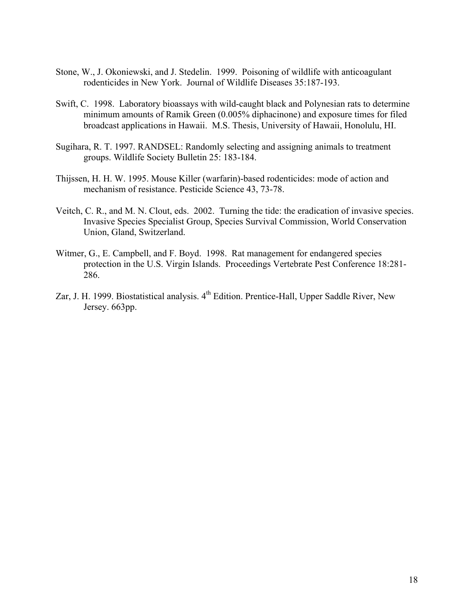- Stone, W., J. Okoniewski, and J. Stedelin. 1999. Poisoning of wildlife with anticoagulant rodenticides in New York. Journal of Wildlife Diseases 35:187-193.
- Swift, C. 1998. Laboratory bioassays with wild-caught black and Polynesian rats to determine minimum amounts of Ramik Green (0.005% diphacinone) and exposure times for filed broadcast applications in Hawaii. M.S. Thesis, University of Hawaii, Honolulu, HI.
- Sugihara, R. T. 1997. RANDSEL: Randomly selecting and assigning animals to treatment groups. Wildlife Society Bulletin 25: 183-184.
- Thijssen, H. H. W. 1995. Mouse Killer (warfarin)-based rodenticides: mode of action and mechanism of resistance. Pesticide Science 43, 73-78.
- Veitch, C. R., and M. N. Clout, eds. 2002. Turning the tide: the eradication of invasive species. Invasive Species Specialist Group, Species Survival Commission, World Conservation Union, Gland, Switzerland.
- Witmer, G., E. Campbell, and F. Boyd. 1998. Rat management for endangered species protection in the U.S. Virgin Islands. Proceedings Vertebrate Pest Conference 18:281- 286.
- Zar, J. H. 1999. Biostatistical analysis. 4<sup>th</sup> Edition. Prentice-Hall, Upper Saddle River, New Jersey. 663pp.